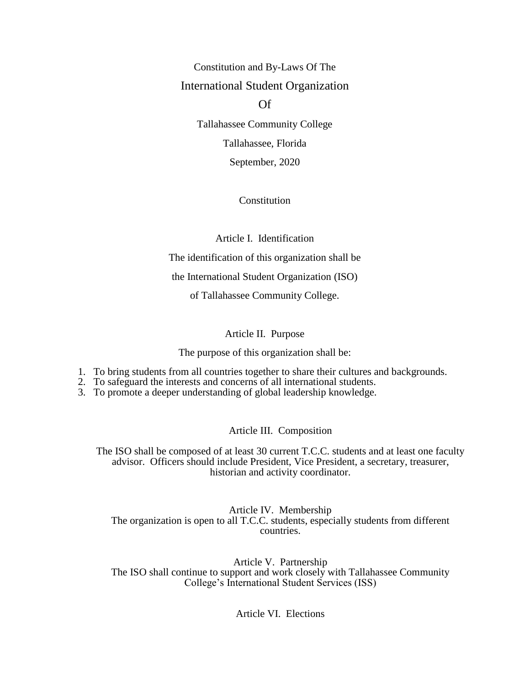Constitution and By-Laws Of The International Student Organization

Of

Tallahassee Community College

Tallahassee, Florida

September, 2020

Constitution

Article I. Identification

The identification of this organization shall be

the International Student Organization (ISO)

of Tallahassee Community College.

Article II. Purpose

The purpose of this organization shall be:

- 1. To bring students from all countries together to share their cultures and backgrounds.
- 2. To safeguard the interests and concerns of all international students.
- 3. To promote a deeper understanding of global leadership knowledge.

# Article III. Composition

The ISO shall be composed of at least 30 current T.C.C. students and at least one faculty advisor. Officers should include President, Vice President, a secretary, treasurer, historian and activity coordinator.

Article IV. Membership The organization is open to all T.C.C. students, especially students from different countries.

Article V. Partnership The ISO shall continue to support and work closely with Tallahassee Community College's International Student Services (ISS)

Article VI. Elections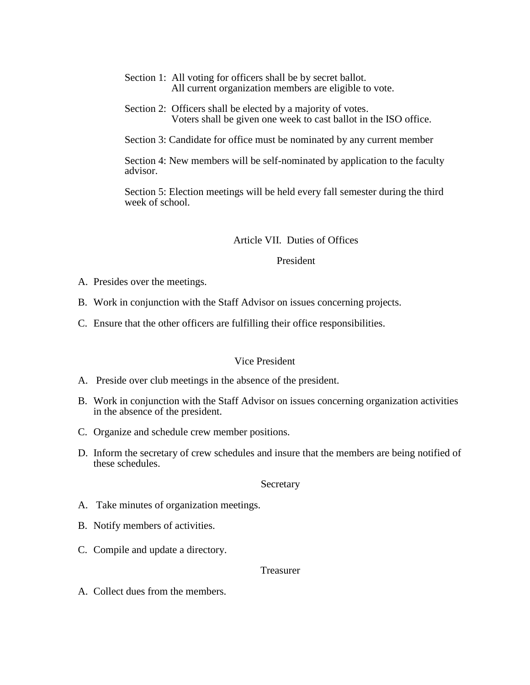- Section 1: All voting for officers shall be by secret ballot. All current organization members are eligible to vote.
- Section 2: Officers shall be elected by a majority of votes. Voters shall be given one week to cast ballot in the ISO office.

Section 3: Candidate for office must be nominated by any current member

Section 4: New members will be self-nominated by application to the faculty advisor.

Section 5: Election meetings will be held every fall semester during the third week of school.

Article VII. Duties of Offices

President

- A. Presides over the meetings.
- B. Work in conjunction with the Staff Advisor on issues concerning projects.
- C. Ensure that the other officers are fulfilling their office responsibilities.

#### Vice President

- A. Preside over club meetings in the absence of the president.
- B. Work in conjunction with the Staff Advisor on issues concerning organization activities in the absence of the president.
- C. Organize and schedule crew member positions.
- D. Inform the secretary of crew schedules and insure that the members are being notified of these schedules.

#### Secretary

- A. Take minutes of organization meetings.
- B. Notify members of activities.
- C. Compile and update a directory.

# Treasurer

A. Collect dues from the members.